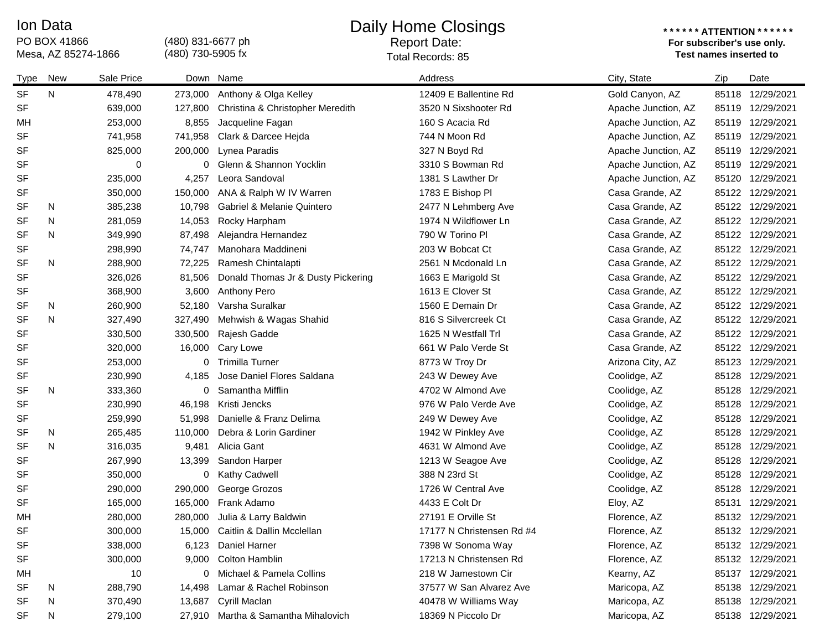## Ion Data

PO BOX 41866 Mesa, AZ 85274-1866 (480) 831-6677 ph (480) 730-5905 fx

## Daily Home Closings

Report Date: Total Records: 85

## **\* \* \* \* \* \* ATTENTION \* \* \* \* \* \* For subscriber's use only.**

| Type      | <b>New</b> | Sale Price |         | Down Name                             | Address                   | City, State         | Zip   | Date             |
|-----------|------------|------------|---------|---------------------------------------|---------------------------|---------------------|-------|------------------|
| <b>SF</b> | N          | 478,490    | 273,000 | Anthony & Olga Kelley                 | 12409 E Ballentine Rd     | Gold Canyon, AZ     | 85118 | 12/29/2021       |
| <b>SF</b> |            | 639,000    | 127,800 | Christina & Christopher Meredith      | 3520 N Sixshooter Rd      | Apache Junction, AZ | 85119 | 12/29/2021       |
| MН        |            | 253,000    | 8,855   | Jacqueline Fagan                      | 160 S Acacia Rd           | Apache Junction, AZ | 85119 | 12/29/2021       |
| <b>SF</b> |            | 741,958    | 741,958 | Clark & Darcee Hejda                  | 744 N Moon Rd             | Apache Junction, AZ | 85119 | 12/29/2021       |
| <b>SF</b> |            | 825,000    | 200,000 | Lynea Paradis                         | 327 N Boyd Rd             | Apache Junction, AZ | 85119 | 12/29/2021       |
| <b>SF</b> |            | 0          | 0       | Glenn & Shannon Yocklin               | 3310 S Bowman Rd          | Apache Junction, AZ |       | 85119 12/29/2021 |
| <b>SF</b> |            | 235,000    | 4,257   | Leora Sandoval                        | 1381 S Lawther Dr         | Apache Junction, AZ |       | 85120 12/29/2021 |
| <b>SF</b> |            | 350,000    | 150,000 | ANA & Ralph W IV Warren               | 1783 E Bishop Pl          | Casa Grande, AZ     |       | 85122 12/29/2021 |
| <b>SF</b> | N          | 385,238    | 10,798  | <b>Gabriel &amp; Melanie Quintero</b> | 2477 N Lehmberg Ave       | Casa Grande, AZ     |       | 85122 12/29/2021 |
| <b>SF</b> | N          | 281,059    | 14,053  | Rocky Harpham                         | 1974 N Wildflower Ln      | Casa Grande, AZ     |       | 85122 12/29/2021 |
| <b>SF</b> | N          | 349,990    | 87,498  | Alejandra Hernandez                   | 790 W Torino Pl           | Casa Grande, AZ     |       | 85122 12/29/2021 |
| <b>SF</b> |            | 298,990    | 74,747  | Manohara Maddineni                    | 203 W Bobcat Ct           | Casa Grande, AZ     |       | 85122 12/29/2021 |
| <b>SF</b> | N          | 288,900    | 72,225  | Ramesh Chintalapti                    | 2561 N Mcdonald Ln        | Casa Grande, AZ     |       | 85122 12/29/2021 |
| <b>SF</b> |            | 326,026    | 81,506  | Donald Thomas Jr & Dusty Pickering    | 1663 E Marigold St        | Casa Grande, AZ     |       | 85122 12/29/2021 |
| <b>SF</b> |            | 368,900    | 3,600   | <b>Anthony Pero</b>                   | 1613 E Clover St          | Casa Grande, AZ     |       | 85122 12/29/2021 |
| <b>SF</b> | N          | 260,900    | 52,180  | Varsha Suralkar                       | 1560 E Demain Dr          | Casa Grande, AZ     |       | 85122 12/29/2021 |
| <b>SF</b> | N          | 327,490    | 327,490 | Mehwish & Wagas Shahid                | 816 S Silvercreek Ct      | Casa Grande, AZ     |       | 85122 12/29/2021 |
| <b>SF</b> |            | 330,500    | 330,500 | Rajesh Gadde                          | 1625 N Westfall Trl       | Casa Grande, AZ     |       | 85122 12/29/2021 |
| <b>SF</b> |            | 320,000    | 16,000  | Cary Lowe                             | 661 W Palo Verde St       | Casa Grande, AZ     |       | 85122 12/29/2021 |
| <b>SF</b> |            | 253,000    | 0       | <b>Trimilla Turner</b>                | 8773 W Troy Dr            | Arizona City, AZ    | 85123 | 12/29/2021       |
| SF        |            | 230,990    | 4,185   | Jose Daniel Flores Saldana            | 243 W Dewey Ave           | Coolidge, AZ        | 85128 | 12/29/2021       |
| <b>SF</b> | N          | 333,360    | 0       | Samantha Mifflin                      | 4702 W Almond Ave         | Coolidge, AZ        | 85128 | 12/29/2021       |
| <b>SF</b> |            | 230,990    | 46,198  | Kristi Jencks                         | 976 W Palo Verde Ave      | Coolidge, AZ        | 85128 | 12/29/2021       |
| <b>SF</b> |            | 259,990    | 51,998  | Danielle & Franz Delima               | 249 W Dewey Ave           | Coolidge, AZ        | 85128 | 12/29/2021       |
| <b>SF</b> | N          | 265,485    | 110,000 | Debra & Lorin Gardiner                | 1942 W Pinkley Ave        | Coolidge, AZ        | 85128 | 12/29/2021       |
| <b>SF</b> | N          | 316,035    | 9,481   | Alicia Gant                           | 4631 W Almond Ave         | Coolidge, AZ        | 85128 | 12/29/2021       |
| <b>SF</b> |            | 267,990    | 13,399  | Sandon Harper                         | 1213 W Seagoe Ave         | Coolidge, AZ        | 85128 | 12/29/2021       |
| <b>SF</b> |            | 350,000    | 0       | <b>Kathy Cadwell</b>                  | 388 N 23rd St             | Coolidge, AZ        | 85128 | 12/29/2021       |
| <b>SF</b> |            | 290,000    | 290,000 | George Grozos                         | 1726 W Central Ave        | Coolidge, AZ        | 85128 | 12/29/2021       |
| <b>SF</b> |            | 165,000    | 165,000 | Frank Adamo                           | 4433 E Colt Dr            | Eloy, AZ            | 85131 | 12/29/2021       |
| MH        |            | 280,000    | 280,000 | Julia & Larry Baldwin                 | 27191 E Orville St        | Florence, AZ        |       | 85132 12/29/2021 |
| <b>SF</b> |            | 300,000    | 15,000  | Caitlin & Dallin Mcclellan            | 17177 N Christensen Rd #4 | Florence, AZ        |       | 85132 12/29/2021 |
| SF        |            | 338,000    |         | 6,123 Daniel Harner                   | 7398 W Sonoma Way         | Florence, AZ        |       | 85132 12/29/2021 |
| SF        |            | 300,000    |         | 9,000 Colton Hamblin                  | 17213 N Christensen Rd    | Florence, AZ        |       | 85132 12/29/2021 |
| МH        |            | 10         | 0       | Michael & Pamela Collins              | 218 W Jamestown Cir       | Kearny, AZ          |       | 85137 12/29/2021 |
| SF        | N          | 288,790    |         | 14,498 Lamar & Rachel Robinson        | 37577 W San Alvarez Ave   | Maricopa, AZ        |       | 85138 12/29/2021 |
| SF        | N          | 370,490    |         | 13,687 Cyrill Maclan                  | 40478 W Williams Way      | Maricopa, AZ        |       | 85138 12/29/2021 |
| SF        | N          | 279,100    |         | 27,910 Martha & Samantha Mihalovich   | 18369 N Piccolo Dr        | Maricopa, AZ        |       | 85138 12/29/2021 |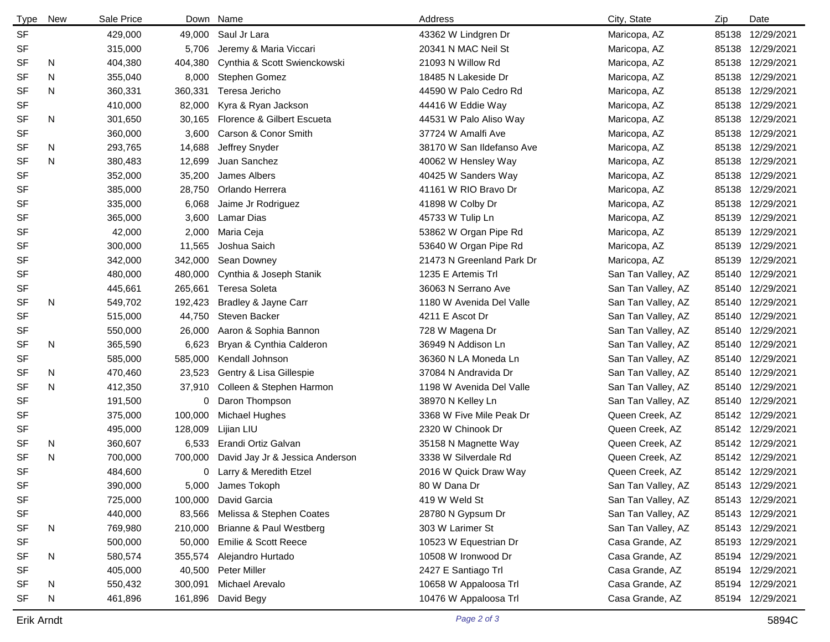| <b>Type</b> | New | Sale Price |         | Down Name                       | Address                   | City, State        | Zip   | Date             |
|-------------|-----|------------|---------|---------------------------------|---------------------------|--------------------|-------|------------------|
| <b>SF</b>   |     | 429,000    | 49,000  | Saul Jr Lara                    | 43362 W Lindgren Dr       | Maricopa, AZ       |       | 85138 12/29/2021 |
| SF          |     | 315,000    | 5,706   | Jeremy & Maria Viccari          | 20341 N MAC Neil St       | Maricopa, AZ       |       | 85138 12/29/2021 |
| SF          | N   | 404,380    | 404,380 | Cynthia & Scott Swienckowski    | 21093 N Willow Rd         | Maricopa, AZ       |       | 85138 12/29/2021 |
| <b>SF</b>   | N   | 355,040    | 8,000   | Stephen Gomez                   | 18485 N Lakeside Dr       | Maricopa, AZ       |       | 85138 12/29/2021 |
| <b>SF</b>   | N   | 360,331    | 360,331 | Teresa Jericho                  | 44590 W Palo Cedro Rd     | Maricopa, AZ       |       | 85138 12/29/2021 |
| SF          |     | 410,000    | 82,000  | Kyra & Ryan Jackson             | 44416 W Eddie Way         | Maricopa, AZ       | 85138 | 12/29/2021       |
| <b>SF</b>   | N   | 301,650    | 30,165  | Florence & Gilbert Escueta      | 44531 W Palo Aliso Way    | Maricopa, AZ       |       | 85138 12/29/2021 |
| SF          |     | 360,000    | 3,600   | Carson & Conor Smith            | 37724 W Amalfi Ave        | Maricopa, AZ       |       | 85138 12/29/2021 |
| SF          | N   | 293,765    | 14,688  | Jeffrey Snyder                  | 38170 W San Ildefanso Ave | Maricopa, AZ       |       | 85138 12/29/2021 |
| <b>SF</b>   | N   | 380,483    | 12,699  | Juan Sanchez                    | 40062 W Hensley Way       | Maricopa, AZ       |       | 85138 12/29/2021 |
| SF          |     | 352,000    | 35,200  | James Albers                    | 40425 W Sanders Way       | Maricopa, AZ       |       | 85138 12/29/2021 |
| SF          |     | 385,000    | 28,750  | Orlando Herrera                 | 41161 W RIO Bravo Dr      | Maricopa, AZ       |       | 85138 12/29/2021 |
| SF          |     | 335,000    | 6,068   | Jaime Jr Rodriguez              | 41898 W Colby Dr          | Maricopa, AZ       |       | 85138 12/29/2021 |
| SF          |     | 365,000    | 3,600   | Lamar Dias                      | 45733 W Tulip Ln          | Maricopa, AZ       | 85139 | 12/29/2021       |
| SF          |     | 42,000     | 2,000   | Maria Ceja                      | 53862 W Organ Pipe Rd     | Maricopa, AZ       | 85139 | 12/29/2021       |
| SF          |     | 300,000    | 11,565  | Joshua Saich                    | 53640 W Organ Pipe Rd     | Maricopa, AZ       |       | 85139 12/29/2021 |
| SF          |     | 342,000    | 342,000 | Sean Downey                     | 21473 N Greenland Park Dr | Maricopa, AZ       |       | 85139 12/29/2021 |
| SF          |     | 480,000    | 480,000 | Cynthia & Joseph Stanik         | 1235 E Artemis Trl        | San Tan Valley, AZ | 85140 | 12/29/2021       |
| SF          |     | 445,661    | 265,661 | <b>Teresa Soleta</b>            | 36063 N Serrano Ave       | San Tan Valley, AZ |       | 85140 12/29/2021 |
| <b>SF</b>   | N   | 549,702    | 192,423 | Bradley & Jayne Carr            | 1180 W Avenida Del Valle  | San Tan Valley, AZ |       | 85140 12/29/2021 |
| SF          |     | 515,000    | 44,750  | Steven Backer                   | 4211 E Ascot Dr           | San Tan Valley, AZ |       | 85140 12/29/2021 |
| SF          |     | 550,000    | 26,000  | Aaron & Sophia Bannon           | 728 W Magena Dr           | San Tan Valley, AZ |       | 85140 12/29/2021 |
| SF          | N   | 365,590    | 6,623   | Bryan & Cynthia Calderon        | 36949 N Addison Ln        | San Tan Valley, AZ |       | 85140 12/29/2021 |
| SF          |     | 585,000    | 585,000 | Kendall Johnson                 | 36360 N LA Moneda Ln      | San Tan Valley, AZ |       | 85140 12/29/2021 |
| SF          | N   | 470,460    | 23,523  | Gentry & Lisa Gillespie         | 37084 N Andravida Dr      | San Tan Valley, AZ |       | 85140 12/29/2021 |
| SF          | N   | 412,350    | 37,910  | Colleen & Stephen Harmon        | 1198 W Avenida Del Valle  | San Tan Valley, AZ |       | 85140 12/29/2021 |
| SF          |     | 191,500    | 0       | Daron Thompson                  | 38970 N Kelley Ln         | San Tan Valley, AZ |       | 85140 12/29/2021 |
| SF          |     | 375,000    | 100,000 | Michael Hughes                  | 3368 W Five Mile Peak Dr  | Queen Creek, AZ    |       | 85142 12/29/2021 |
| SF          |     | 495,000    | 128,009 | Lijian LIU                      | 2320 W Chinook Dr         | Queen Creek, AZ    |       | 85142 12/29/2021 |
| <b>SF</b>   | N   | 360,607    | 6,533   | Erandi Ortiz Galvan             | 35158 N Magnette Way      | Queen Creek, AZ    |       | 85142 12/29/2021 |
| <b>SF</b>   | N   | 700,000    | 700,000 | David Jay Jr & Jessica Anderson | 3338 W Silverdale Rd      | Queen Creek, AZ    |       | 85142 12/29/2021 |
| SF          |     | 484,600    | 0       | Larry & Meredith Etzel          | 2016 W Quick Draw Way     | Queen Creek, AZ    |       | 85142 12/29/2021 |
| SF          |     | 390,000    | 5,000   | James Tokoph                    | 80 W Dana Dr              | San Tan Valley, AZ |       | 85143 12/29/2021 |
| SF          |     | 725,000    | 100,000 | David Garcia                    | 419 W Weld St             | San Tan Valley, AZ |       | 85143 12/29/2021 |
| SF          |     | 440,000    | 83,566  | Melissa & Stephen Coates        | 28780 N Gypsum Dr         | San Tan Valley, AZ |       | 85143 12/29/2021 |
| SF          | N   | 769,980    | 210,000 | Brianne & Paul Westberg         | 303 W Larimer St          | San Tan Valley, AZ |       | 85143 12/29/2021 |
| SF          |     | 500,000    | 50,000  | Emilie & Scott Reece            | 10523 W Equestrian Dr     | Casa Grande, AZ    |       | 85193 12/29/2021 |
| SF          | N   | 580,574    | 355,574 | Alejandro Hurtado               | 10508 W Ironwood Dr       | Casa Grande, AZ    |       | 85194 12/29/2021 |
| SF          |     | 405,000    | 40,500  | Peter Miller                    | 2427 E Santiago Trl       | Casa Grande, AZ    |       | 85194 12/29/2021 |
| SF          | N   | 550,432    | 300,091 | Michael Arevalo                 | 10658 W Appaloosa Trl     | Casa Grande, AZ    |       | 85194 12/29/2021 |
| SF          | N   | 461,896    | 161,896 | David Begy                      | 10476 W Appaloosa Trl     | Casa Grande, AZ    |       | 85194 12/29/2021 |